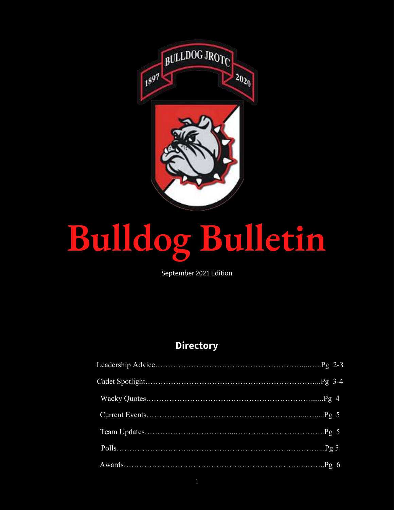

# Bulldog Bulletin

September 2021 Edition

# **Directory**

|  | 6 |
|--|---|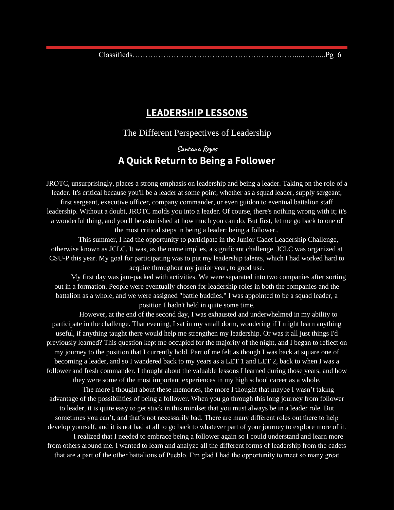#### **LEADERSHIP LESSONS**

The Different Perspectives of Leadership

### **Santana Reyes A Quick Return to Being a Follower**

JROTC, unsurprisingly, places a strong emphasis on leadership and being a leader. Taking on the role of a leader. It's critical because you'll be a leader at some point, whether as a squad leader, supply sergeant, first sergeant, executive officer, company commander, or even guidon to eventual battalion staff leadership. Without a doubt, JROTC molds you into a leader. Of course, there's nothing wrong with it; it's a wonderful thing, and you'll be astonished at how much you can do. But first, let me go back to one of the most critical steps in being a leader: being a follower..

This summer, I had the opportunity to participate in the Junior Cadet Leadership Challenge, otherwise known as JCLC. It was, as the name implies, a significant challenge. JCLC was organized at CSU-P this year. My goal for participating was to put my leadership talents, which I had worked hard to acquire throughout my junior year, to good use.

My first day was jam-packed with activities. We were separated into two companies after sorting out in a formation. People were eventually chosen for leadership roles in both the companies and the battalion as a whole, and we were assigned "battle buddies." I was appointed to be a squad leader, a position I hadn't held in quite some time.

However, at the end of the second day, I was exhausted and underwhelmed in my ability to participate in the challenge. That evening, I sat in my small dorm, wondering if I might learn anything useful, if anything taught there would help me strengthen my leadership. Or was it all just things I'd previously learned? This question kept me occupied for the majority of the night, and I began to reflect on my journey to the position that I currently hold. Part of me felt as though I was back at square one of becoming a leader, and so I wandered back to my years as a LET 1 and LET 2, back to when I was a follower and fresh commander. I thought about the valuable lessons I learned during those years, and how they were some of the most important experiences in my high school career as a whole.

The more I thought about these memories, the more I thought that maybe I wasn't taking advantage of the possibilities of being a follower. When you go through this long journey from follower to leader, it is quite easy to get stuck in this mindset that you must always be in a leader role. But sometimes you can't, and that's not necessarily bad. There are many different roles out there to help develop yourself, and it is not bad at all to go back to whatever part of your journey to explore more of it.

I realized that I needed to embrace being a follower again so I could understand and learn more from others around me. I wanted to learn and analyze all the different forms of leadership from the cadets that are a part of the other battalions of Pueblo. I'm glad I had the opportunity to meet so many great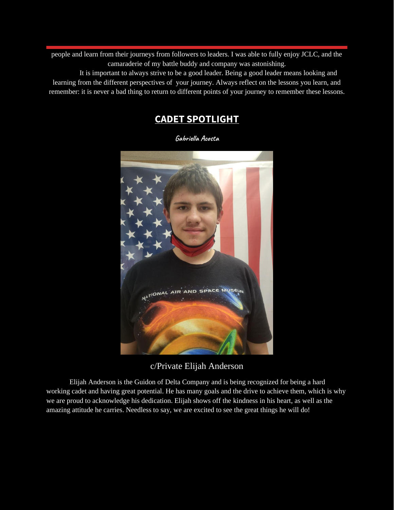people and learn from their journeys from followers to leaders. I was able to fully enjoy JCLC, and the camaraderie of my battle buddy and company was astonishing.

It is important to always strive to be a good leader. Being a good leader means looking and learning from the different perspectives of your journey. Always reflect on the lessons you learn, and remember: it is never a bad thing to return to different points of your journey to remember these lessons.

# **CADET SPOTLIGHT**

**Gabriella Acosta**



c/Private Elijah Anderson

Elijah Anderson is the Guidon of Delta Company and is being recognized for being a hard working cadet and having great potential. He has many goals and the drive to achieve them, which is why we are proud to acknowledge his dedication. Elijah shows off the kindness in his heart, as well as the amazing attitude he carries. Needless to say, we are excited to see the great things he will do!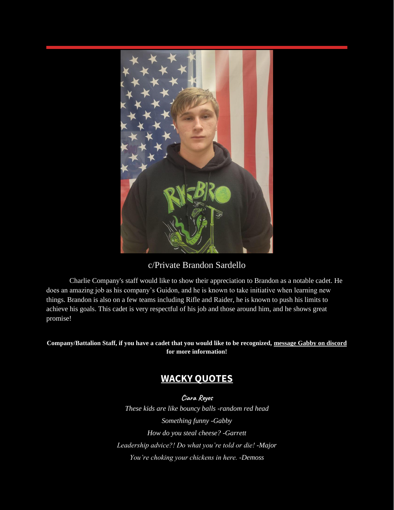

c/Private Brandon Sardello

Charlie Company's staff would like to show their appreciation to Brandon as a notable cadet. He does an amazing job as his company's Guidon, and he is known to take initiative when learning new things. Brandon is also on a few teams including Rifle and Raider, he is known to push his limits to achieve his goals. This cadet is very respectful of his job and those around him, and he shows great promise!

**Company/Battalion Staff, if you have a cadet that you would like to be recognized, message Gabby on discord for more information!**

# **WACKY QUOTES**

**Ciara Reyes** *These kids are like bouncy balls -random red head Something funny -Gabby How do you steal cheese? -Garrett Leadership advice?! Do what you're told or die! -Major You're choking your chickens in here. -Demoss*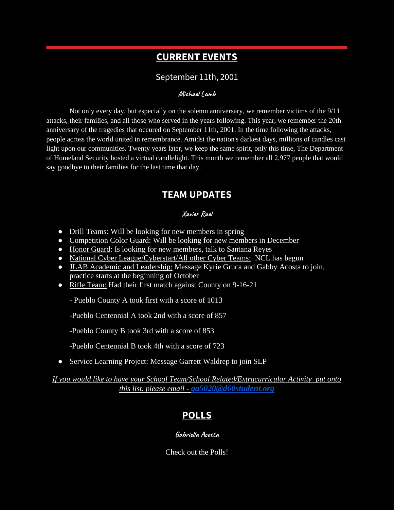## **CURRENT EVENTS**

#### September 11th, 2001

#### **Michael Lamb**

Not only every day, but especially on the solemn anniversary, we remember victims of the 9/11 attacks, their families, and all those who served in the years following. This year, we remember the 20th anniversary of the tragedies that occured on September 11th, 2001. In the time following the attacks, people across the world united in remembrance. Amidst the nation's darkest days, millions of candles cast light upon our communities. Twenty years later, we keep the same spirit, only this time, The Department of Homeland Security hosted a virtual candlelight. This month we remember all 2,977 people that would say goodbye to their families for the last time that day.

#### **TEAM UPDATES**

#### **Xavier Rael**

- Drill Teams: Will be looking for new members in spring
- Competition Color Guard: Will be looking for new members in December
- Honor Guard: Is looking for new members, talk to Santana Reyes
- National Cyber League/Cyberstart/All other Cyber Teams:. NCL has begun
- JLAB Academic and Leadership: Message Kyrie Gruca and Gabby Acosta to join, practice starts at the beginning of October
- Rifle Team: Had their first match against County on 9-16-21

- Pueblo County A took first with a score of 1013

-Pueblo Centennial A took 2nd with a score of 857

-Pueblo County B took 3rd with a score of 853

-Pueblo Centennial B took 4th with a score of 723

• Service Learning Project: Message Garrett Waldrep to join SLP

*If you would like to have your School Team/School Related/Extracurricular Activity put onto this list, please email - [ga5020@d60student.org](mailto:ga5020@d60student.org)*

# **POLLS**

**Gabriella Acosta**

Check out the Polls!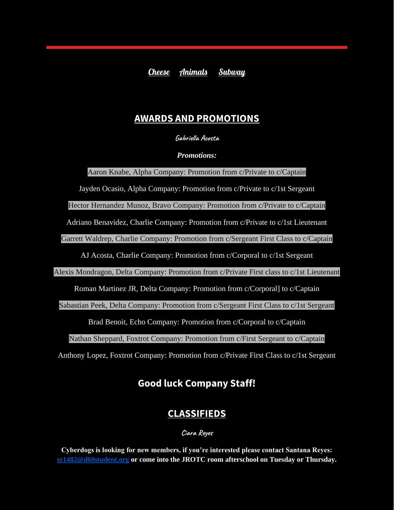[Cheese](https://docs.google.com/forms/d/e/1FAIpQLSc4b8xT6ZeqZcHh2Rkzgt19CZA3VjD1gJ4J9tDuskyyapRGxQ/viewform?usp=sf_link) [Animals](https://docs.google.com/forms/d/e/1FAIpQLSfPf8mzT_mCFEsqIzZAQvYDZruIJYfDqjTgTufuliCMaylDhQ/viewform?usp=sf_link) [Subway](https://docs.google.com/forms/d/e/1FAIpQLScgAUn9moYmGF-0IU2_VnmcphWbZ82PaMD2JgRWb7Y_AZBe4w/viewform?usp=sf_link)

### **AWARDS AND PROMOTIONS**

**Gabriella Acosta**

*Promotions:*

Aaron Knabe, Alpha Company: Promotion from c/Private to c/Captain

Jayden Ocasio, Alpha Company: Promotion from c/Private to c/1st Sergeant

Hector Hernandez Munoz, Bravo Company: Promotion from c/Private to c/Captain

Adriano Benavidez, Charlie Company: Promotion from c/Private to c/1st Lieutenant

Garrett Waldrep, Charlie Company: Promotion from c/Sergeant First Class to c/Captain

AJ Acosta, Charlie Company: Promotion from c/Corporal to c/1st Sergeant

Alexis Mondragon, Delta Company: Promotion from c/Private First class to c/1st Lieutenant

Roman Martinez JR, Delta Company: Promotion from c/Corporal] to c/Captain

Sabastian Peek, Delta Company: Promotion from c/Sergeant First Class to c/1st Sergeant

Brad Benoit, Echo Company: Promotion from c/Corporal to c/Captain

Nathan Sheppard, Foxtrot Company: Promotion from c/First Sergeant to c/Captain

Anthony Lopez, Foxtrot Company: Promotion from c/Private First Class to c/1st Sergeant

# **Good luck Company Staff!**

# **CLASSIFIEDS**

**Ciara Reyes**

**Cyberdogs is looking for new members, if you're interested please contact Santana Reyes: [sr1482@d60student.org](mailto:sr1482@d60student.org) or come into the JROTC room afterschool on Tuesday or Thursday.**